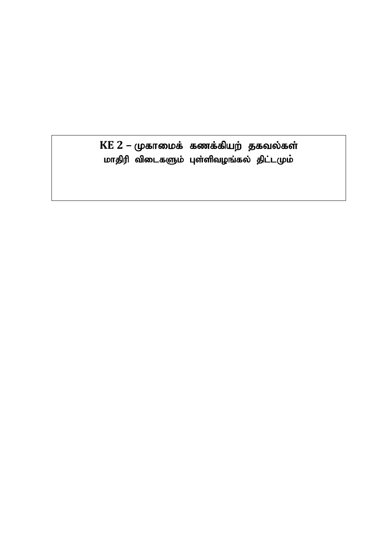$KE$   $2$  – முகாமைக் கணக்கியற் தகவல்கள் மாதிரி விடைகளும் புள்ளிவழங்கல் திட்டமும்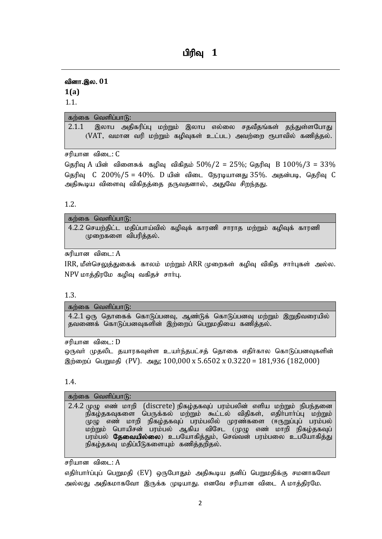# **பிரிவ 1**

வினா.இல. 01 **1(a)**

1.1.

### கற்கை வெளிப்பா $f$ ):

2.1.1 இலாப அதிகரிப்பு மற்றும் இலாப எல்லை சதவீதங்கள் தந்துள்ளபோது  $(VAT,$  வமான வரி மற்றும் கழிவுகள் உட்பட) அவற்றை ரூபாவில் கணித்தல்.

சரியான விடை: C

தெரிவு A யின் விளைசுக் கழிவு விகிதம்  $50\%/2 = 25\%$ ; தெரிவு B  $100\%/3 = 33\%$ தெரிவு  $C$  200%/5 = 40%. D யின் விடை நேரடியானது 35%. அதன்படி, தெரிவு  $C$ அதிகூடிய விளைவு விகிதத்தை தருவதனால், அதுவே சிறந்தது.

1.2.

| கற்கை வெளிப்பாடு:                                                        |  |  |  |  |
|--------------------------------------------------------------------------|--|--|--|--|
| 4.2.2 செயற்திட்ட மதிப்பாய்வில் கழிவுக் காரணி சாராத மற்றும் கழிவுக் காரணி |  |  |  |  |
| முறைகளை விபரித்தல்.                                                      |  |  |  |  |

சுரியான விடை:  $A$ 

 $\rm{IRR.}$  மீள்செலுக்குதைக் காலம் மற்றும்  $\rm{ARR}$  முறைகள் கமிவ விகிக சார்புகள் அல்ல. NPV மாத்திரமே கழிவு வகிதச் சார்பு.

1.3.

கற்கை வெளிப்பா $f$ :

 $4.2.1$  வரு கொகைக் கொடுப்பனவு, ஆண்டுக் கொடுப்பனவு மற்றும் இறுகிவரையில் தவணைக் கொடுப்பனவுகளின் இற்றைப் பெறுமதியை கணித்தல்.

சரியான விடை:  $D$ 

ஒருவா் முதலிட தயாரகவுள்ள உயா்ந்தபட்சத் தொகை எதிா்கால கொடுப்பனவுகளின் இற்றைப் பெறுமதி (PV). அது:  $100.000 \times 5.6502 \times 0.3220 = 181,936$  (182,000)

1.4.

#### கற்கை வெளிப்பா $f$ ה:

2.4.2 முழு எண் மாறி (discrete) நிகழ்தகவுப் பரம்பலின் எளிய மற்றும் நிபந்தனை நிகழ்தகவுகளை பெருக்கல் மற்றும் கூட்டல் விதிகள், எதிர்பார்ப்பு மற்றும் முழு எண் மாறி நிகழ்தகவுப் பரம்பலில் முரண்களை (ஈருறுப்புப் பரம்பல்) மற்றும் பொயிசன் பரம்பல் ஆகிய விசேட (முழு எண் மாறி நிகழ்தகவுப் பரம்பல் **தேவையில்லை**) உபயோகித்தும், செவ்வன் பரம்பலை உபயோகித்து நிகழ்தகவு மதிப்பீடுகளையும் கணித்தறிதல்.

சரியான விடை:  $A$ 

எதிா்பாா்ப்புப் பெறுமதி (EV) ஒருபோதும் அதிகூடிய தனிப் பெறுமதிக்கு சமனாகவோ அல்லது அதிகமாகவோ இருக்க முடியாது. எனவே சரியான விடை A மாத்திரமே.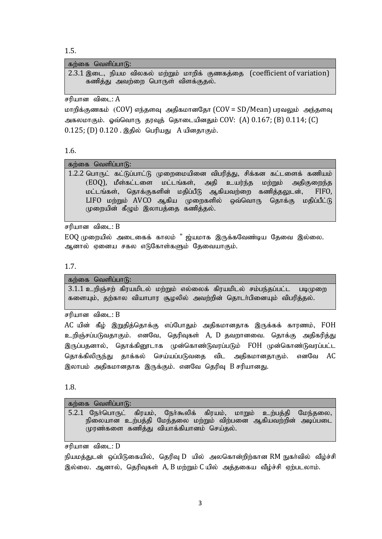1.5.

| கற்கை வெளிப்பாடு: |
|-------------------|
|-------------------|

2.3.1 இடை, நியம விலகல் மற்றும் மாறிக் குணகத்தை (coefficient of variation) கணித்து அவற்றை பொருள் விளக்குதல்.

சரியான விடை:  $A$ 

மாறிக்குணகம் (COV) எந்தளவு அதிகமானதோ (COV = SD/Mean) பரவலும் அந்தளவு அகலமாகும். வெ்வொரு தரவுத் தொடையினதும் $\rm COV:$  (A)  $\rm 0.167;$  (B)  $\rm 0.114;$  (C)  $0.125$ ; (D)  $0.120$  , இதில் பெரியது  $A$  யினதாகும்.

#### 1.6.

கற்கை வெளிப்பா $(f)$ :

 $1.2.2$  பொருட் கட்டுப்பாட்டு முறைமையினை விபரித்து, சிக்கன கட்டளைக் கணியம்  $(EOQ)$ , மீள்கட்டளை மட்டங்கள், அதி உயர்ந்த மற்றும் அதிகுறைந்த மட்டங்கள், தொக்குகளின் மதிப்பீடு ஆகியவற்றை கணித்தலுடன், FIFO,  $LIFO$  மற்றும்  $AVCO$  ஆகிய முறைகளில் ஒவ்வொரு தொக்கு மதிப்பீட்டு முறையின் கீழும் இலாபத்தை கணித்தல்.

சரியான விடை:  $B$ 

 $EOQ$  முறையில் அடைகைக் காலம் " ஜ்யமாக இருக்கவேண்டிய தேவை இல்லை. ஆனால் ஏனைய சகல எடுகோள்களும் தேவையாகும்.

1.7.

கற்கை வெளிப்பா $f$ 

 $3.1.1$  உறிஞ்சற் கிரயமிடல் மற்றும் எல்லைக் கிரயமிடல் சம்பந்தப்பட்ட படிமுறை களையும், தற்கால வியாபார சூழலில் அவற்றின் தொடர்பினையும் விபரித்தல்.

சரியான விடை:  $B$ 

 ${\rm AC}$  யின் கீழ் இறுதித்தொக்கு எப்போதும் அதிகமானதாக இருக்கக் காரணம்,  ${\rm FOH}$ உறிஞ்சப்படுவதாகும். எனவே, தெரிவுகள் A, D தவறானவை. தொக்கு அதிகரித்து இருப்பதனால், தொக்கினூடாக முன்கொண்டுவரப்படும் FOH முன்கொண்டுவரப்பட்ட தொக்கிலிருந்து தாக்கல் செய்யப்படுவதை விட அதிகமானதாகும். எனவே AC இலாபம் அதிகமானதாக இருக்கும். எனவே தெரிவு B சரியானது.

1.8.

கற்கை வெளிப்பா $(f)$ :

 $5.2.1$  நேர்பொருட் கிரயம், நேர்கூலிக் கிரயம், மாறும் உற்பத்தி மேந்தலை, நிலையான உற்பத்தி மேந்தலை மற்றும் விற்பனை ஆகியவற்றின் அடிப்படை முரண்களை கணித்து வியாக்கியானம் செய்தல்.

சரியான விடை:  $D$ 

நியமத்துடன் ஒப்பிடுகையில், தெரிவு D யில் அலகொன்றிற்கான RM நுகா்வில் வீழ்ச்சி இல்லை. ஆனால், தெரிவுகள் A, B மற்றும் C யில் அக்ககைய வீழ்ச்சி ஏற்படலாம்.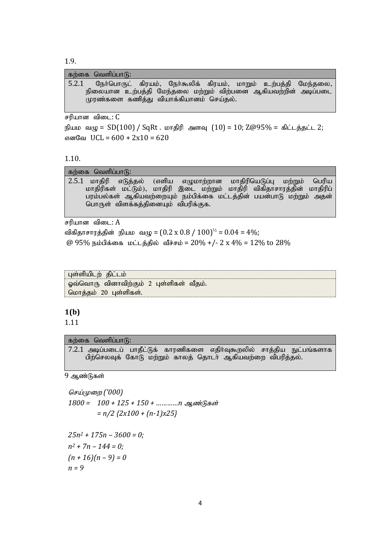1.9.

|       | கற்கை வெளிப்பாடு: |                                         |  |  |                                                                |
|-------|-------------------|-----------------------------------------|--|--|----------------------------------------------------------------|
| 5.2.1 |                   |                                         |  |  | நேர்பொருட் கிரயம், நேர்கூலிக் கிரயம், மாறும் உற்பத்தி மேந்தலை, |
|       |                   |                                         |  |  | நிலையான உற்பத்தி மேந்தலை மற்றும் விற்பனை ஆகியவற்றின் அடிப்படை  |
|       |                   | முரண்களை கணித்து வியாக்கியானம் செய்தல். |  |  |                                                                |
|       |                   |                                         |  |  |                                                                |

சரியான விடை:  $C$ 

நியம வழு =  $SD(100) / SqRt$ . மாதிரி அளவு  $(10) = 10$ ; Z@95% = கிட்டத்தட்ட 2; எனவே UCL =  $600 + 2x10 = 620$ 

1.10.

| கற்கை வெளிப்பாடு:                                                      |       |
|------------------------------------------------------------------------|-------|
| ் 2.5.1 மாதிரி எடுத்தல் (எளிய எழுமாற்றான மாதிரியெடுப்பு மற்றும்        | பெரிய |
| மாதிரிகள் மட்டும்), மாதிரி இடை மற்றும் மாதிரி விகிதாசாரத்தின் மாதிரிப் |       |
| பரம்பல்கள் ஆகியவற்றையும் நம்பிக்கை மட்டத்தின் பயன்பாடு மற்றும் அதன்    |       |
| பொருள் விளக்கத்தினையும் விபரிக்குக.                                    |       |
|                                                                        |       |

சரியான விடை:  $A$ 

விகிதாசாரத்தின் நியம வழு =  $(0.2 \times 0.8 / 100)^{1/2} = 0.04 = 4\%$ ; @ 95% நம்பிக்கை மட்டத்தில் வீச்சம் = 20% +/- 2 x 4% = 12% to 28%

| ் புள்ளியிடற்   திட்டம்                   |
|-------------------------------------------|
| ் ஓவ்வொரு வினாவிற்கும் 2 புள்ளிகள் வீதம். |
| ் மொத்தம் 20 புள்ளிகள்.                   |

# **1(b)**

1.11

### கற்கை வெளிப்பா $f$ :

7.2.1 அடிப்படைப் பாதீட்டுக் காரணிகளை எதிர்வுகூறலில் சாத்திய நுட்பங்களாக பிற்செலவுக் கோடு மற்றும் காலத் தொடர் ஆகியவற்றை விபரித்தல்.

9 ஆண்டுகள்

*n = 9*

செய்முறை ('000) 1800 = 100 + 125 + 150 + ………… n ஆண்டுகள் *= n/2 {2x100 + (n-1)x25} 25n<sup>2</sup> + 175n – 3600 = 0; n<sup>2</sup> + 7n – 144 = 0; (n + 16)(n – 9) = 0*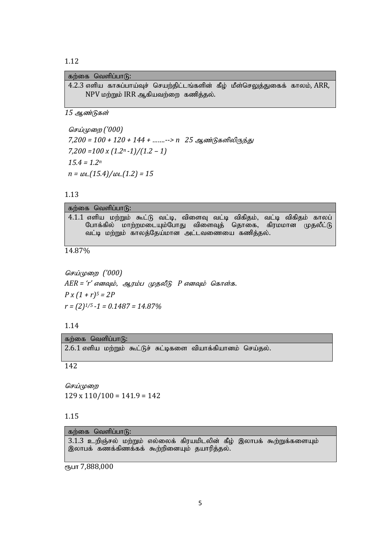| கற்கை வெளிப்பாடு:                                                             |  |  |
|-------------------------------------------------------------------------------|--|--|
| 4.2.3 எளிய காசுப்பாய்வுச் செயற்திட்டங்களின் கீழ் மீள்செலுத்துகைக் காலம், ARR, |  |  |
| NPV மற்றும் IRR ஆகியவற்றை கணித்தல்.                                           |  |  |

15 ஆண்டுகள்

செய்முறை ('000) 7,200 = 100 + 120 + 144 + .......--> n 25 ஆண்டுகளிலிருந்து  $7,200 = 100 \times (1.2<sup>n</sup> - 1)/(1.2 - 1)$  $15.4 = 1.2<sup>n</sup>$  $n = \frac{\mu}{15.4}/\mu$ (1.2) = 15

1.13

| கற்கை வெளிப்பாடு:                                                                                                                                                                          |
|--------------------------------------------------------------------------------------------------------------------------------------------------------------------------------------------|
| 4.1.1 எளிய மற்றும் கூட்டு வட்டி, விளைவு வட்டி விகிதம், வட்டி விகிதம் காலப்<br>போக்கில் மாற்றமடையும்போது விளைவுத் தொகை, கிரமமான முதலீட்டு<br>வட்டி மற்றும் காலத்தேய்மான அட்டவணையை கணித்தல். |

14.87%

செய்முறை ('000)  $AER = 'r'$  எனவும், ஆரம்ப முதலீடு P எனவும் கொள்க.  $P x (1 + r)^5 = 2P$  $r = (2)^{1/5} - 1 = 0.1487 = 14.87\%$ 

கற்கை வெளிப்பாடு: 2.6.1 எளிய மற்றும் கூட்டுச் சுட்டிகளை வியாக்கியானம் செய்தல்.

142

செய்முறை  $129 \times 110/100 = 141.9 = 142$ 

### 1.15

கற்கை வெளிப்பாடு: 3.1.3 உறிஞ்சல் மற்றும் எல்லைக் கிரயமிடலின் கீழ் இலாபக் கூற்றுக்களையும் இலாபக் கணக்கிணக்கக் கூற்றினையும் தயாரித்தல்.

ரூபா 7,888,000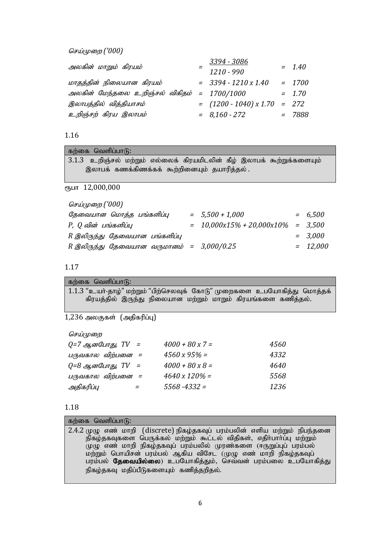*செய்முறை ('000)* 

| அலகின் மாறும் கிரயம்                        | 3394 - 3086<br>$1210 - 990$    | $= 1.40$ |
|---------------------------------------------|--------------------------------|----------|
| மாதத்தின் நிலையான கிரயம்                    | $=$ 3394 - 1210 x 1.40         | $= 1700$ |
| அலகின் மேந்தலை உறிஞ்சல் விகிதம் = 1700/1000 |                                | $= 1.70$ |
| இலாபத்தில் வித்தியாசம்                      | $=$ (1200 - 1040) x 1.70 = 272 |          |
| உறிஞ்சற் கிரய இலாபம்                        | $= 8,160 - 272$                | $= 7888$ |

# 1.16

| கற்கை வெளிப்பாடு:                                                      |
|------------------------------------------------------------------------|
| 3.1.3 உறிஞ்சல் மற்றும் எல்லைக் கிரயமிடலின் கீழ் இலாபக் கூற்றுக்களையும் |
| இலாபக் கணக்கிணக்கக் கூற்றினையும் தயாரித்தல்.                           |
|                                                                        |
| ரூபா 12,000,000                                                        |
| செய்முறை ('000)                                                        |

|  |                                                                  | $= 6,500$                             |
|--|------------------------------------------------------------------|---------------------------------------|
|  |                                                                  |                                       |
|  |                                                                  | $= 3,000$                             |
|  |                                                                  | $= 12,000$                            |
|  | $= 5,500 + 1,000$<br>$R$ இலிருந்து தேவையான வருமானம் = 3,000/0.25 | $= 10,000x15\% + 20,000x10\% = 3,500$ |

1.17

| கறகை வவளப்பாடு:                                                                                                                           |  |
|-------------------------------------------------------------------------------------------------------------------------------------------|--|
| 1.1.3 "உயர்-தாழ்" மற்றும் "பிற்செலவுக் கோடு" முறைகளை உபயோகித்து மொத்தக்<br>்கிரயத்தில் இருந்து நிலையான மற்றும் மாறும் கிரயங்களை கணித்தல். |  |

 $1,236$  அலகுகள்  $($ அதிகரிப்பு $)$ 

செய்முறை

 $\frac{1}{2}$   $\frac{1}{2}$   $\frac{1}{2}$   $\frac{1}{2}$   $\frac{1}{2}$   $\frac{1}{2}$   $\frac{1}{2}$   $\frac{1}{2}$   $\frac{1}{2}$   $\frac{1}{2}$   $\frac{1}{2}$   $\frac{1}{2}$   $\frac{1}{2}$   $\frac{1}{2}$   $\frac{1}{2}$   $\frac{1}{2}$   $\frac{1}{2}$   $\frac{1}{2}$   $\frac{1}{2}$   $\frac{1}{2}$   $\frac{1}{2}$   $\frac{1}{2}$ 

| $Q=7$ ஆனபோது, $TV =$ |   | $4000 + 80 \times 7 =$ | 4560 |
|----------------------|---|------------------------|------|
| பருவகால விற்பனை =    |   | $4560 \times 95\% =$   | 4332 |
| $Q = 8$ ஆனபோது, TV = |   | $4000 + 80 \times 8 =$ | 4640 |
| பருவகால விற்பனை =    |   | $4640 \times 120\% =$  | 5568 |
| அதிகரிப்பு           | = | $5568 - 4332 =$        | 1236 |
|                      |   |                        |      |

|  | ۰. |
|--|----|

| கற்கை வெளிப்பாடு:                                                          |
|----------------------------------------------------------------------------|
| 2.4.2 முழு எண் மாறி (discrete) நிகழ்தகவுப் பரம்பலின் எளிய மற்றும் நிபந்தனை |
| நிகழ்தகவுகளை பெருக்கல் மற்றும் கூட்டல் விதிகள், எதிர்பார்ப்பு மற்றும்      |
| முழு எண் மாறி நிகழ்தகவுப் பரம்பலில் முரண்களை (ஈருறுப்புப் பரம்பல்          |
| மற்றும் பொயிசன் பரம்பல் ஆகிய விசேட (முழு எண் மாறி நிகழ்தகவுப்              |
| பரம்பல் தேவையில்லை) உபயோகித்தும், செவ்வன் பரம்பலை உபயோகித்து               |
| நிகழ்தகவு மதிப்பீடுகளையும் கணித்தறிதல்.                                    |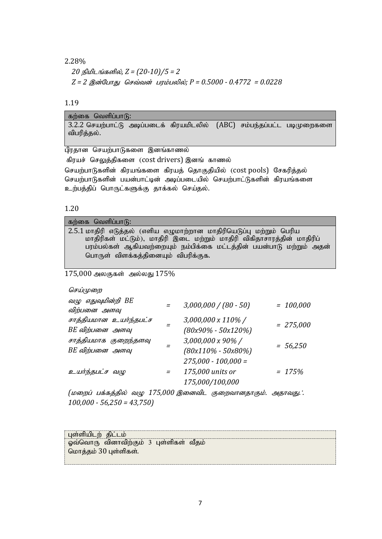## 2.28%

*20 நிமிடங்களில், Z = (20-10)/5 = 2*  $Z = 2$  *இன்போது செவ்வன் பரம்பலில்; P = 0.5000 - 0.4772 = 0.0228* 

### 1.19

| கற்கை வெளிப்பாடு:                                                       |  |
|-------------------------------------------------------------------------|--|
| 3.2.2 செயற்பாட்டு அடிப்படைக் கிரயமிடலில் (ABC) சம்பந்தப்பட்ட படிமுறைகளை |  |
| விபரித்தல்.                                                             |  |

பிரதான செயற்பாடுகளை இனங்காணல்

கிரயச் செலுத்திகளை (cost drivers) இனங் காணல்

செயற்பாடுகளின் கிரயங்களை கிரயத் தொகுதியில் (cost pools) சேகரித்தல் செயற்பாடுகளின் பயன்பாட்டின் அடிப்படையில் செயற்பாட்டுகளின் கிரயங்களை உற்பத்திப் பொருட்களுக்கு தாக்கல் செய்தல்.

### 1.20

| கற்கை வெளிப்பாடு:                                                      |
|------------------------------------------------------------------------|
| 2.5.1 மாதிரி எடுத்தல் (எளிய எழுமாற்றான மாதிரியெடுப்பு மற்றும் பெரிய    |
| மாதிரிகள் மட்டும்), மாதிரி இடை மற்றும் மாதிரி விகிதாசாரத்தின் மாதிரிப் |
| பரம்பல்கள் ஆகியவற்றையும் நம்பிக்கை மட்டத்தின் பயன்பாடு மற்றும் அதன்    |
| பொருள் விளக்கத்தினையும் விபரிக்குக.                                    |

 $175,000$  அலகுகள் அல்லது  $175\%$ 

### செய்முறை

| வழு எதுவுமின்றி BE<br>விற்பனை அளவு        | $3,000,000 / (80 - 50)$                                      | $= 100,000$ |
|-------------------------------------------|--------------------------------------------------------------|-------------|
| சாத்தியமான உயர்ந்தபட்ச<br>BE விற்பனை அளவு | 3,000,000 x 110%/<br>$(80x90\% - 50x120\%)$                  | $= 275,000$ |
| சாத்தியமாக குறைந்தளவு<br>BE விற்பனை அளவு  | 3,000,000 x 90%/<br>$(80x110\% - 50x80\%)$                   | $= 56,250$  |
| உயர்ந்தபட்ச வழு                           | $275,000 - 100,000 =$<br>175,000 units or<br>175,000/100,000 | $= 175%$    |

*(மறைப் பக்கத்தில் வழு 175,000 இனைவிட குறைவானதாகும். அதாவது.*: *100,000 - 56,250 = 43,750)*

| பள்ளியிடற் திட்டம்    |                                        |  |
|-----------------------|----------------------------------------|--|
|                       | ஓவ்வொரு வினாவிற்கும் 3 புள்ளிகள் வீதம் |  |
| மொத்தம் 30 புள்ளிகள். |                                        |  |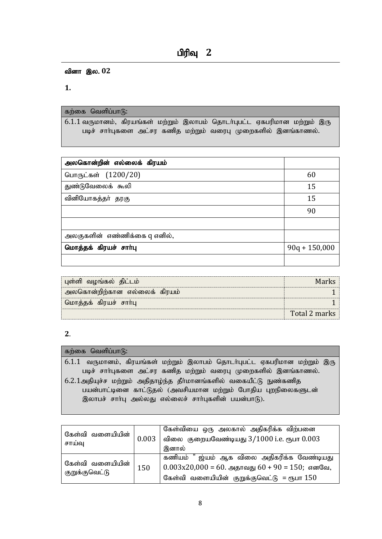வினா இல. 02

**1.**

### கற்கை வெளிப்பா $(f)$ :

 $6.1.1$  வருமானம், கிரயங்கள் மற்றும் இலாபம் தொடர்புபட்ட ஏகபரிமான மற்றும் இரு படிச் சாா்புகளை அட்சர கணித மற்றும் வரைபு முறைகளில் இனங்காணல்.

| அலகொன்றின் எல்லைக் கிரயம்    |                 |
|------------------------------|-----------------|
| பொருட்கள் (1200/20)          | 60              |
| துண்டுவேலைக் கூலி            | 15              |
| வினியோகத்தா் தரகு            | 15              |
|                              | 90              |
|                              |                 |
| அலகுகளின் எண்ணிக்கை q எனில், |                 |
| மொத்தக் கிரயச் சாா்பு        | $90q + 150,000$ |
|                              |                 |

| ் புள்ளி வழங்கல்  திட்டம்    | Mark          |
|------------------------------|---------------|
| அலகொன்றிற்கான எல்லைக் கிரயம் |               |
| ் மொத்தக் கிரயச் சாா்பு      |               |
|                              | Total 2 marks |

# **2**.

# கற்கை வெளிப்பா $\mathcal{B}$ :  $6.1.1$  வருமானம், கிரயங்கள் மற்றும் இலாபம் தொடர்புபட்ட ஏகபரிமான மற்றும் இரு படிச் சாா்புகளை அட்சர கணித மற்றும் வரைபு முறைகளில் இனங்காணல்.  $6.2.1$ அதியுச்ச மற்றும் அதிதாழ்ந்த தீா்மானங்களில் வகையீட்டு நுண்கணித பயன்பாட்டினை காட்டுதல் (அவசியமான மற்றும் போதிய புறநிலைகளுடன் இலாபச் சாா்பு அல்லது எல்லைச் சாா்புகளின் பயன்பாடு).

| கேள்வி வளையியின்                   | 0.003 | கேள்வியை ஒரு அலகால் அதிகரிக்க விற்பனை                  |  |
|------------------------------------|-------|--------------------------------------------------------|--|
| சாய்வு                             |       | விலை குறையவேண்டியது 3/1000 i.e. ரூபா 0.003             |  |
|                                    |       | இனால்                                                  |  |
|                                    | 150   | ஜ்யம் ஆக விலை அதிகரிக்க வேண்டியது<br>கணியம்            |  |
| கேள்வி வளையியின்<br>குறுக்குவெட்டு |       | $\vert 0.003x20,000 = 60.$ அதாவது 60 + 90 = 150; எனவே, |  |
|                                    |       | கேள்வி வளையியின் குறுக்குவெட்டு = ரூபா $150$           |  |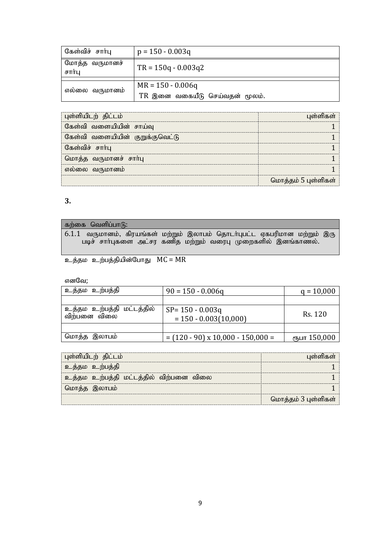| கேள்விச் சார்பு          | $p = 150 - 0.003q$             |
|--------------------------|--------------------------------|
| மோத்த வருமானச்<br>சார்பு | $TR = 150q - 0.003q2$          |
|                          |                                |
| எல்லை வருமானம்           | $MR = 150 - 0.006q$            |
|                          | TR இனை வகையீடு செய்வதன் மூலம். |

| புள்ளியிடற் திட்டம்             | ள்ளிகள்             |
|---------------------------------|---------------------|
| கேள்வி வளையியின் சாய்வு         |                     |
| கேள்வி வளையியின் குறுக்குவெட்டு |                     |
| கேள்விச் சார்பு                 |                     |
| மொத்த வருமானச் சாா்பு           |                     |
| எல்லை வருமானம                   |                     |
|                                 | மொத்தம் 5 புள்ளிகள் |

| கற்கை வெளிப்பாடு:                                                         |  |  |  |  |
|---------------------------------------------------------------------------|--|--|--|--|
| 6.1.1 வருமானம், கிரயங்கள் மற்றும் இலாபம் தொடர்புபட்ட ஏகபரிமான மற்றும் இரு |  |  |  |  |
| படிச் சாா்புகளை அட்சர கணித மற்றும் வரைபு முறைகளில் இனங்காணல்.             |  |  |  |  |

உத்தம உற்பத்தியின்போது  $MC = MR$ 

எனவே;

| உத்தம உற்பத்தி                                    | $90 = 150 - 0.006q$                            | $q = 10,000$ |
|---------------------------------------------------|------------------------------------------------|--------------|
|                                                   |                                                |              |
| <u>உத்த</u> ம உற்பத்தி மட்டத்தில்<br>விற்பனை விலை | $SP = 150 - 0.003q$<br>$= 150 - 0.003(10,000)$ | Rs. 120      |
|                                                   |                                                |              |
| மொத்த இலாபம்                                      | $= (120 - 90) \times 10,000 - 150,000 =$       | ரூபா 150,000 |

| புள்ளியிடற் திட்டம்                    | பள்ளிகள்            |
|----------------------------------------|---------------------|
| உத்தம உற்பத்தி                         |                     |
| உத்தம உற்பத்தி மட்டத்தில் விற்பனை விலை |                     |
| மொத்த இலாபம்                           |                     |
|                                        | மொத்தம் 3 புள்ளிகள் |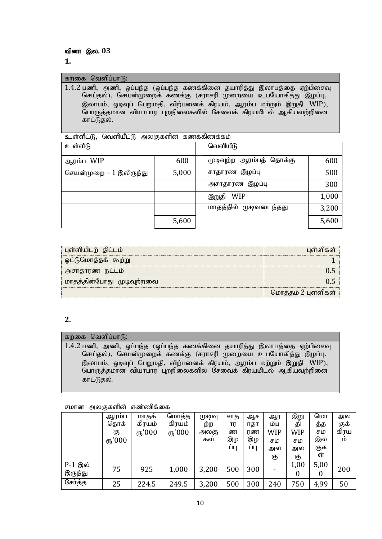#### கற்கை வெளிப்பாடு:

1.4.2 பணி, அணி, ஒப்பந்த (ஒப்பந்த கணக்கினை தயாரித்து இலாபத்தை ஏற்பிசைவு செய்தல்), செயன்முறைக் கணக்கு (சராசரி முறையை உபயோகித்து இழப்பு, இலாபம், ஒடிவுப் பெறுமதி, விற்பனைக் கிரயம், ஆரம்ப மற்றும் இறுதி WIP), பொருத்தமான வியாபார புறநிலைகளில் சேவைக் கிரயமிடல் ஆகியவற்றினை காட்டுதல்.

உள்ளீட்டு, வெளியீட்டு அலகுகளின் கணக்கிணக்கம்

| உள்ளீடு                 |       | வெளியீடு                 |       |
|-------------------------|-------|--------------------------|-------|
| ஆரம்ப WIP               | 600   | முடிவுற்ற ஆரம்பத் தொக்கு | 600   |
| செயன்முறை – 1 இலிருந்து | 5,000 | சாதாரண இழப்பு            | 500   |
|                         |       | அசாதாரண இழப்பு           | 300   |
|                         |       | இறுதி WIP                | 1,000 |
|                         |       | மாதத்தில் முடிவடைந்தது   | 3,200 |
|                         | 5,600 |                          | 5,600 |

| புள்ளியிடற் திட்டம்       | பள்ளிகள்            |
|---------------------------|---------------------|
| ஓட்டுமொத்தக் கூற்று       |                     |
| அசாதாரண நட்டம்            |                     |
| மாதத்தின்போது முடிவுற்றவை |                     |
|                           | மொத்தம் 2 புள்ளிகள் |

# $\overline{2}$ .

#### கற்கை வெளிப்பாடு:

1.4.2 பணி, அணி, ஒப்பந்த (ஒப்பந்த கணக்கினை தயாரித்து இலாபத்தை ஏற்பிசைவு செய்தல்), செயன்முறைக் கணக்கு (சராசரி முறையை உபயோகித்து இழப்பு, இலாபம், ஒடிவுப் பெறுமதி, விற்பனைக் கிரயம், ஆரம்ப மற்றும் இறுதி WIP), பொருத்தமான வியாபார புறநிலைகளில் சேவைக் கிரயமிடல் ஆகியவற்றினை காட்டுதல்.

சமான அலகுகளின் எண்ணிக்கை

|                    | ஆரம்ப<br>தொக்<br>கு<br>(15)000 | மாதக்<br>கிரயம்<br>(15)000 | மொத்த<br>கிரயம்<br>(15)000 | முடிவு<br>ற்ற<br>அலகு<br>கள் | சாத<br>ார<br>ண<br>இழ<br>ШЦ | ஆச<br>ாதா<br>ரண<br>இழ<br>ШЦ | ஆர<br>ம்ப<br>WIP<br>சம<br>அல<br>கு | இறு<br>தி<br>WIP<br>சம<br>அல<br>கு | மொ<br>த்த<br>சம<br>இல<br>குக<br>ள் | அல<br>குக்<br>கிரய<br>LÒ |
|--------------------|--------------------------------|----------------------------|----------------------------|------------------------------|----------------------------|-----------------------------|------------------------------------|------------------------------------|------------------------------------|--------------------------|
| P-1 இல்<br>இருந்து | 75                             | 925                        | 1,000                      | 3,200                        | 500                        | 300                         |                                    | 1,00<br>0                          | 5,00<br>$\boldsymbol{0}$           | 200                      |
| சேர்த்த            | 25                             | 224.5                      | 249.5                      | 3,200                        | 500                        | 300                         | 240                                | 750                                | 4,99                               | 50                       |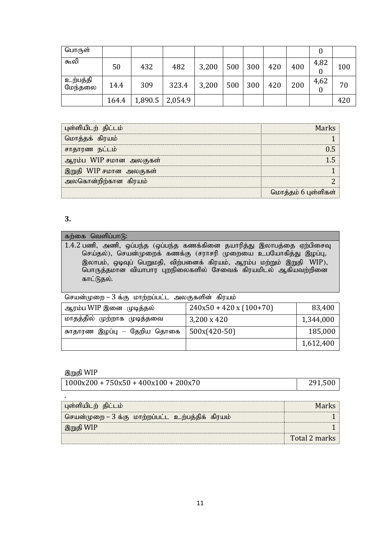| பொருள்              |       |         |         |       |     |     |     |     |      |     |
|---------------------|-------|---------|---------|-------|-----|-----|-----|-----|------|-----|
| கூலி                | 50    | 432     | 482     | 3,200 | 500 | 300 | 420 | 400 | 4,82 | 100 |
| உற்பத்தி<br>மேந்தலை | 14.4  | 309     | 323.4   | 3,200 | 500 | 300 | 420 | 200 | 4,62 | 70  |
|                     | 164.4 | 1,890.5 | 2,054.9 |       |     |     |     |     |      | 420 |

| புள்ளியிடற் திட்டம்    |                     |
|------------------------|---------------------|
| மொத்தக் கிரயம்         |                     |
| சாதாரண நட்டம்          |                     |
| ஆரம்ப WIP சமான அலகுகள் |                     |
| இறுதி WIP சமான அலகுகள் |                     |
| அலகொன்றிற்கான கிரயம்   |                     |
|                        | மொத்தம் 6 புள்ளிகள் |

### கற்கை வெளிப்பா $\mathbf{G}$ :

 $1.4.2$  பணி, அணி, ஒப்பந்த (ஒப்பந்த கணக்கினை தயாரித்து இலாபத்தை ஏற்பிசைவு செய்தல்), செயன்முறைக் கணக்கு (சராசரி முறையை உபயோகித்து இழப்பு, இலாபம், ஒடிவுப் பெறுமதி, விற்பனைக் கிரயம், ஆரம்ப மற்றும் இறுதி WIP), பொருத்தமான வியாபார புறநிலைகளில் சேவைக் கிரயமிடல் ஆகியவற்றினை காட்டுதல்.

செயன்முறை – 3 க்கு மாற்றப்பட்ட அலகுகளின் கிரயம்

| ஆரம்ப WIP இனை  முடித்தல்    | $240x50 + 420x(100+70)$ | 83,400    |
|-----------------------------|-------------------------|-----------|
| மாதத்தில் முற்றாக முடித்தவை | 3,200 x 420             | 1,344,000 |
| சுாதாரண இழப்பு — தேறிய தொகை | $500x(420-50)$          | 185,000   |
|                             |                         | 1,612,400 |

### இறுதி WIP

| 291,500<br>$1000x200 + 750x50 + 400x100 + 200x70$ |
|---------------------------------------------------|
|---------------------------------------------------|

| புள்ளியிடற் திட்டம்                              | Marks         |
|--------------------------------------------------|---------------|
| செயன்முறை – 3 க்கு மாற்றப்பட்ட உற்பத்திக் கிரயம் |               |
| ் இறுதி WIP                                      |               |
|                                                  | Total 2 marks |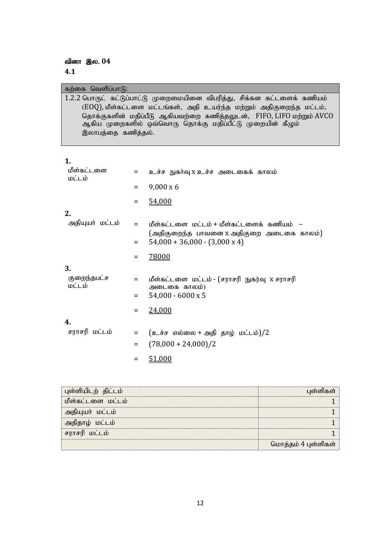வினா இல. 04

**4.1**

| கற்கை வெளிப்பாடு:                                                                                                                                       |
|---------------------------------------------------------------------------------------------------------------------------------------------------------|
| 1.2.2 பொருட் கட்டுப்பாட்டு முறைமையினை விபரித்து, சிக்கன கட்டளைக் கணியம்                                                                                 |
| (EOQ), மீள்கட்டளை மட்டங்கள், அதி உயர்ந்த மற்றும் அதிகுறைந்த மட்டம்,                                                                                     |
| தொக்குகளின் மதிப்பீடு ஆகியவற்றை கணித்தலுடன், FIFO, LIFO மற்றும் AVCO<br>ஆகிய முறைகளில் ஒவ்வொரு தொக்கு மதிப்பீட்டு முறையின் கீழும்<br>இலாபத்தை கணித்தல். |

| I<br>۰. |  |  |
|---------|--|--|
|         |  |  |

| மீள்கட்டளை<br>மட்டம்  | $=$      | உச்ச நுகர்வு x உச்ச அடைகைக் காலம்                                                |
|-----------------------|----------|----------------------------------------------------------------------------------|
|                       | $\equiv$ | $9,000 \times 6$                                                                 |
|                       | $\equiv$ | 54,000                                                                           |
| 2.                    |          |                                                                                  |
| அதியுயர் மட்டம்       | $=$      | மீள்கட்டளை மட்டம் + மீள்கட்டளைக் கணியம் –                                        |
|                       | $\equiv$ | (அதிகுறைந்த பாவனை x அதிகுறை அடைகை காலம்)<br>$54,000 + 36,000 - (3,000 \times 4)$ |
|                       | $\equiv$ | 78000                                                                            |
| 3.                    |          |                                                                                  |
| குறைந்தபட்ச<br>மட்டம் | $=$      | மீள்கட்டளை மட்டம் - (சராசரி நுகர்வு x சராசரி<br>அடைகை காலம்)                     |
|                       | $=$      | $54,000 - 6000 \times 5$                                                         |
|                       | $=$      | 24,000                                                                           |
| 4.                    |          |                                                                                  |
| சராசரி மட்டம்         | $\equiv$ | $(\underline{\circ}$ ச்ச எல்லை + அதி தாழ் மட்டம்)/2                              |
|                       | $\equiv$ | $(78,000 + 24,000)/2$                                                            |
|                       | $=$      | 51,000                                                                           |

| புள்ளியிடற் திட்டம் |                     |
|---------------------|---------------------|
| மீள்கட்டளை மட்டம்   |                     |
| தியுயா் மட்டம்      |                     |
| தொழ் மட்டம்         |                     |
| சராசரி மட்டம்       |                     |
|                     | மொத்தம் 4 புள்ளிகள் |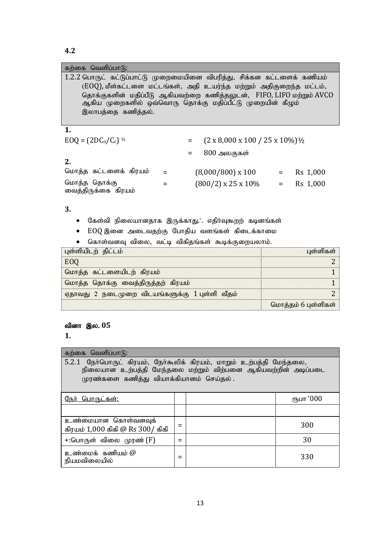| கற்கை வெளிப்பாடு:                                                                             |                                                                                                                                                                                                          |          |
|-----------------------------------------------------------------------------------------------|----------------------------------------------------------------------------------------------------------------------------------------------------------------------------------------------------------|----------|
| 1.2.2 பொருட் கட்டுப்பாட்டு முறைமையினை விபரித்து, சிக்கன கட்டளைக் கணியம்<br>இலாபத்தை கணித்தல். | (EOQ), மீள்கட்டளை மட்டங்கள், அதி உயர்ந்த மற்றும் அதிகுறைந்த மட்டம்,<br>தொக்குகளின் மதிப்பீடு ஆகியவற்றை கணித்தலுடன், FIFO, LIFO மற்றும் AVCO<br>ஆகிய முறைகளில் ஒவ்வொரு தொக்கு மதிப்பீட்டு முறையின் கீழும் |          |
| 1.                                                                                            |                                                                                                                                                                                                          |          |
| $EOQ = (2DC_0/C_c)^{1/2}$                                                                     | $(2 \times 8,000 \times 100 / 25 \times 10\%)$ <sup>1</sup> / <sub>2</sub>                                                                                                                               |          |
|                                                                                               | 800 அலகுகள்<br>$=$                                                                                                                                                                                       |          |
| 2.                                                                                            |                                                                                                                                                                                                          |          |
| மொத்த கட்டளைக் கிரயம்                                                                         | $(8,000/800) \times 100 =$                                                                                                                                                                               | Rs 1,000 |
| மொத்த தொக்கு<br>வைத்திருக்கை கிரயம்                                                           | $(800/2) \times 25 \times 10\% =$                                                                                                                                                                        | Rs 1,000 |
|                                                                                               |                                                                                                                                                                                                          |          |

# $3.$

- கேள்வி நிலையானதாக இருக்காது. . எதிா்வுகூறற் கடினங்கள்
- EOQ இனை அடைவதற்கு போதிய வளங்கள் கிடைக்காமை
- கொள்வனவு விலை, வட்டி விகிதங்கள் கூடிக்குறையலாம்.

| புள்ளியிடற் திட்டம்                           | பள்ளிகள்            |
|-----------------------------------------------|---------------------|
|                                               |                     |
| மொத்த கட்டளையிடற் கிரயம்                      |                     |
| மொத்த தொக்கு வைத்திருத்தற் கிரயம்             |                     |
| ஏதாவது 2 நடைமுறை விடயங்களுக்கு 1்புள்ளி வீதம் |                     |
|                                               | மொத்தம் 6 புள்ளிகள் |

### வினா இல. 05

 $1.$ 

| கற்கை வெளிப்பாடு:                                                                                                                                                                |  |  |               |  |
|----------------------------------------------------------------------------------------------------------------------------------------------------------------------------------|--|--|---------------|--|
| 5.2.1 நேர்பொருட் கிரயம், நேர்கூலிக் கிரயம், மாறும் உற்பத்தி மேந்தலை,<br>நிலையான உற்பத்தி மேந்தலை மற்றும் விற்பனை ஆகியவற்றின் அடிப்படை<br>முரண்களை கணித்து வியாக்கியானம் செய்தல். |  |  |               |  |
| <u> நோ் பொருட்கள்:</u>                                                                                                                                                           |  |  | ரீநபா ' $000$ |  |
|                                                                                                                                                                                  |  |  |               |  |
| உண்மையான கொள்வனவுக்<br>கிரயம் 1,000 கிகி @ Rs 300/ கிகி                                                                                                                          |  |  | 300           |  |
| +:பொருள் விலை முரண் (F)                                                                                                                                                          |  |  | 30            |  |
| உண்மைக் கணியம் @<br>நியமவிலையில்                                                                                                                                                 |  |  | 330           |  |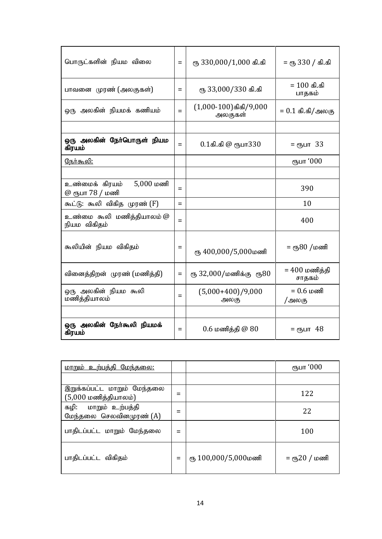| பொருட்களின் நியம விலை                            | $=$ | ரு 330,000/1,000 கி.கி                 | = ரூ 330 / கி.கி                       |
|--------------------------------------------------|-----|----------------------------------------|----------------------------------------|
| பாவனை முரண் (அலகுகள்)                            | Ξ   | ரு 33,000/330 கி.கி                    | = $100$ கி.கி<br>பாதகம்                |
| ஒரு அலகின் நியமக் கணியம்                         | $=$ | $(1,000-100)$ கிகி/ $9,000$<br>அலகுகள் | = $0.1$ கி.கி/அலகு                     |
|                                                  |     |                                        |                                        |
| ஒரு அலகின் நோ்பொருள் நியம<br>கிரயம்              | Ξ   | $0.1$ கி.கி @ ரூபா $330$               | = ரூபா 33                              |
| <u> நேர்கூலி:</u>                                |     |                                        | ரூபா '000                              |
|                                                  |     |                                        |                                        |
| $5,000$ மணி<br>உண்மைக் கிரயம்<br>@ ரூபா 78 / மணி | $=$ |                                        | 390                                    |
| கூட்டு: கூலி விகித முரண் (F)                     | $=$ |                                        | 10                                     |
| உண்மை கூலி மணித்தியாலம் @<br>நியம விகிதம்        | $=$ |                                        | 400                                    |
| கூலியின் நியம விகிதம்                            | Ξ   | ரு 400,000/5,000மணி                    | = ரூ80 /மணி                            |
| வினைத்திறன் முரண் (மணித்தி)                      | $=$ | ரூ 32,000/மணிக்கு ரூ80                 | = $400 \text{ }$ மணித்தி<br>சாதகம்     |
| ஒரு அலகின் நியம கூலி<br>மணித்தியாலம்             | $=$ | $(5,000+400)/9,000$<br>அலகு            | $= 0.6 \text{ } \mu \text{ }$<br>/அலகு |
|                                                  |     |                                        |                                        |
| ஒரு அலகின் நேர்கூலி நியமக்<br>கிரயம்             | Ξ   | $0.6$ மணித்தி $@80$                    | = ரூபா 48                              |

| <u>மாறும் உற்பத்தி மேந்தலை:</u>                                 |   |                     | ரூபா '000      |
|-----------------------------------------------------------------|---|---------------------|----------------|
|                                                                 |   |                     |                |
| இறுக்கப்பட்ட மாறும் மேந்தலை<br>$(5,000 \text{ )}$ மணித்தியாலம்) | = |                     | 122            |
| கழி: மாறும் உற்பத்தி<br>மேந்தலை செலவினமுரண் (A)                 |   |                     | 22             |
| பாதிடப்பட்ட மாறும் மேந்தலை                                      |   |                     | 100            |
| பாதிடப்பட்ட விகிதம்                                             | = | ரு 100,000/5,000மணி | = ரூ $20/$ மணி |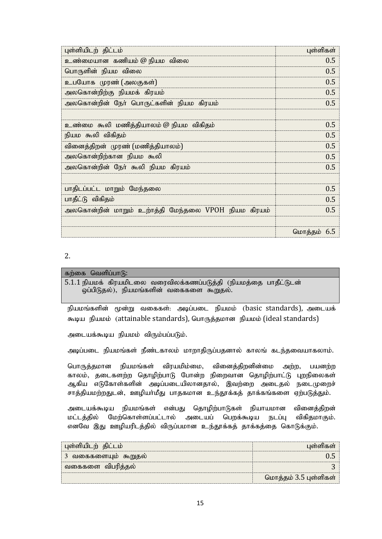| புள்ளியிடற் திட்டம்                                 | புள்ளிகள்   |
|-----------------------------------------------------|-------------|
| உண்மையான கணியம் @ நியம விலை                         | 0.5         |
| பொருளின் நியம விலை                                  | 0.5         |
| உபயோக முரண் (அலகுகள்)                               | 0.5         |
| அலகொன்றிற்கு நியமக் கிரயம்                          | 0.5         |
| அலகொன்றின் நோ் பொருட்களின் நியம கிரயம்              | 0.5         |
|                                                     |             |
| உண்மை கூலி மணித்தியாலம் @ நியம விகிதம்              | 0.5         |
| நியம கூலி விகிதம்                                   | 0.5         |
| வினைத்திறன் முரண் (மணித்தியாலம்)                    | 0.5         |
| அலகொன்றிற்கான நியம கூலி                             | 0.5         |
| அலகொன்றின் நோ் கூலி நியம கிரயம்                     | 0.5         |
|                                                     |             |
| பாதிடப்பட்ட மாறும் மேந்தலை                          | 0.5         |
| பாதீட்டு விகிதம்                                    | 0.5         |
| அலகொன்றின் மாறும் உற்ாத்தி மேந்தலை VPOH நியம கிரயம் | 0.5         |
|                                                     |             |
|                                                     | மொத்தம் 6.5 |

| கற்கை வெளிப்பாடு:                                                |  |
|------------------------------------------------------------------|--|
| 5.1.1 நியமக் கிரயமிடலை வரைவிலக்கணப்படுத்தி (நியமத்தை பாதீட்டுடன் |  |
| ஒப்பிடுதல்), நியமங்களின் வகைகளை கூறுதல்.                         |  |

நியமங்களின் மூன்று வகைகள்: அடிப்படை நியமம் (basic standards), அடையக் கூடிய நியமம் (attainable standards), பொருத்தமான நியமம் (ideal standards)

அடையக்கூடிய நியமம் விரும்பப்படும்.

அடிப்படை நியமங்கள் நீண்டகாலம் மாறாதிருப்பதனால் காலங் கடந்தவையாகலாம்.

பொருத்தமான நியமங்கள் விரயமிம்மை, வினைத்திறனின்மை அற்ற, பயனற்ற காலம், தடைகளற்ற தொழிற்பாடு போன்ற நிறைவான தொழிற்பாட்டு புறநிலைகள் ஆகிய எடுகோள்களின் அடிப்படையிலானதால், இவற்றை அடைதல் நடைமுறைச் சாத்தியமற்றதுடன், ஊழியா்மீது பாதகமான உந்தூக்கத் தாக்கங்களை ஏற்படுத்தும்.

அடையக்கூடிய நியமங்கள் என்பது தொழிற்பாடுகள் நியாயமான வினைத்திறன் மட்டத்தில் மேற்கொள்ளப்பட்டால் அடையப் பெறக்கூடிய நடப்பு விகிதமாகும். எனவே இது ஊழியரிடத்தில் விருப்பமான உந்தூக்கத் தாக்கத்தை கொடுக்கும்.

| புள்ளியிடற் திட்டம்    | பள்ளிகள்              |
|------------------------|-----------------------|
| ் 3 வகைகளையும் கூறுதல் |                       |
| வகைகளை விபரித்தல்      |                       |
|                        | மொத்தம் 3.5 புள்ளிகள் |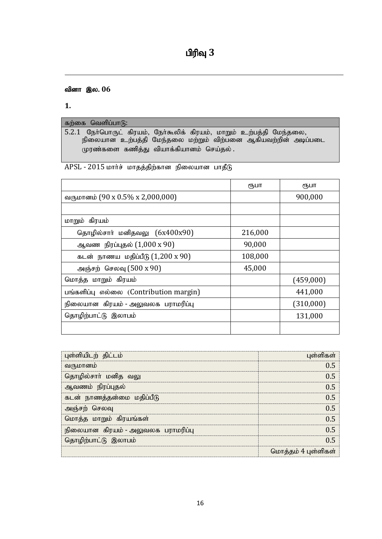# $\mathbf{u}$ ரிவு $\mathbf{3}$

# வினா இல. 06

**1.** 

கற்கை வெளிப்பா $\mathbf{G}$ : 5.2.1 நோ்பொருட் கிரயம், நோ்கூலிக் கிரயம், மாறும் உற்பத்தி மேந்தலை, நிலையான உற்பத்தி மேந்தலை மற்றும் விற்பனை ஆகியவற்றின் அடிப்படை  $\mu$ ரண்களை கணித்து வியாக்கியானம் செய்தல்

APSL - 2015 மார்ச் மாதத்திற்கான நிலையான பாதீடு

|                                         | ரூபா    | ரூபா      |
|-----------------------------------------|---------|-----------|
| வருமானம் (90 x 0.5% x 2,000,000)        |         | 900,000   |
|                                         |         |           |
| மாறும் கிரயம்                           |         |           |
| தொழில்சாா் மனிதவலு (6x400x90)           | 216,000 |           |
| ஆவண நிரப்புதல் $(1,000 \times 90)$      | 90,000  |           |
| கடன் நாணய மதிப்பீடு $(1,200 \times 90)$ | 108,000 |           |
| அஞ்சற் செலவு (500 x 90)                 | 45,000  |           |
| மொத்த மாறும் கிரயம்                     |         | (459,000) |
| பங்களிப்பு எல்லை (Contribution margin)  |         | 441,000   |
| நிலையான கிரயம் - அலுவலக பராமரிப்பு      |         | (310,000) |
| தொழிற்பாட்டு இலாபம்                     |         | 131,000   |
|                                         |         |           |

| புள்ளியிடற் திட்டம்                | புள்ளிகள்           |
|------------------------------------|---------------------|
| வருமானம்                           | 05                  |
| தொழில்சாா் மனித வலு                | በ 5                 |
| ஆவணம் நிரப்புதல்                   | በ 5                 |
| கடன் நாணத்தன்மை மதிப்பீடு          | በ 5                 |
| அஞ்சற் செலவு                       | በ 5                 |
| மொத்த மாறும் கிரயங்கள்             | 05                  |
| நிலையான கிரயம் - அலுவலக பராமரிப்பு | በ 5                 |
| தொழிற்பாட்டு இலாபம்                | በ 5                 |
|                                    | மொத்தம் 4 புள்ளிகள் |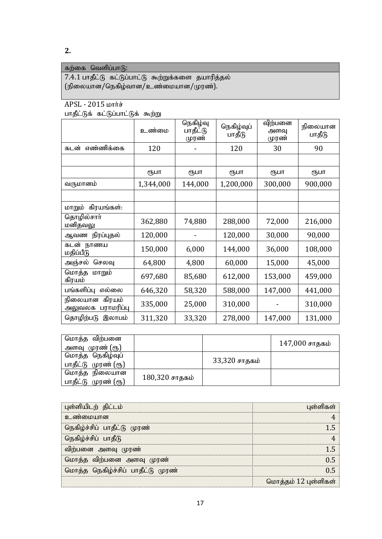# கற்கை வெளிப்பா $\delta$ :  $7.4.1$  பாதீட்டு கட்டுப்பாட்டு கூற்றுக்களை தயாரித்தல்

 $(f$ நிலையான/நெகிழ்வான/உண்மையான/முரண்).

# $APSL - 2015$  white

பாதீட்டுக் கட்டுப்பாட்டுக் கூற்று

|                                           | உண்மை     | நெகிழ்வு<br>பாதீட்டு<br>முரண் | நெகிழ்வுப்<br>பாதீடு | விற்பனை<br>அளவு<br>முரண் | நிலையான<br>பாதீடு |
|-------------------------------------------|-----------|-------------------------------|----------------------|--------------------------|-------------------|
| எண்ணிக்கை<br>கடன்                         | 120       |                               | 120                  | 30                       | 90                |
|                                           |           |                               |                      |                          |                   |
|                                           | ரூபா      | ரூபா                          | ரூபா                 | ரூபா                     | ரூபா              |
| வருமானம்                                  | 1,344,000 | 144,000                       | 1,200,000            | 300,000                  | 900,000           |
|                                           |           |                               |                      |                          |                   |
| மாறும் கிரயங்கள்:                         |           |                               |                      |                          |                   |
| தொழில்சாா்<br>மனிதவலு                     | 362,880   | 74,880                        | 288,000              | 72,000                   | 216,000           |
| ஆவண நிரப்புதல்                            | 120,000   |                               | 120,000              | 30,000                   | 90,000            |
| கடன் நாணய<br>மதிப்பீடு                    | 150,000   | 6,000                         | 144,000              | 36,000                   | 108,000           |
| செலவு<br>அஞ்சல்                           | 64,800    | 4,800                         | 60,000               | 15,000                   | 45,000            |
| மொத்த<br>மாறும்<br>கிரயம்                 | 697,680   | 85,680                        | 612,000              | 153,000                  | 459,000           |
| பங்களிப்பு எல்லை                          | 646,320   | 58,320                        | 588,000              | 147,000                  | 441,000           |
| கிரயம்<br>நிலையான<br>பராமரிப்பு<br>அலுவலக | 335,000   | 25,000                        | 310,000              |                          | 310,000           |
| தொழிற்படு<br>இலாபம்                       | 311,320   | 33,320                        | 278,000              | 147,000                  | 131,000           |

| மொத்த விற்பனை<br>அளவு முரண் (ரூ)        |                |               | 147,000 சாதகம் |
|-----------------------------------------|----------------|---------------|----------------|
| மொத்த நெகிழ்வுப்<br>பாதீட்டு முரண் (ரூ) |                | 33,320 சாதகம் |                |
| மொத்த நிலையான<br>பாதீட்டு முரண் (ரூ)    | 180,320 சாதகம் |               |                |

| புள்ளியிடற் திட்டம்               | பள்ளிகள்             |
|-----------------------------------|----------------------|
| உணமையான                           |                      |
| நெகிழ்ச்சிப் பாதீட்டு முரண்       |                      |
| நெகிழ்ச்சிப் பாதீடு               |                      |
| விற்பனை அளவு முரண்                |                      |
| மொத்த விற்பனை அளவு முரண           |                      |
| மொத்த நெகிழ்ச்சிப் பாதீட்டு முரண் |                      |
|                                   | மொத்தம் 12 புள்ளிகள் |